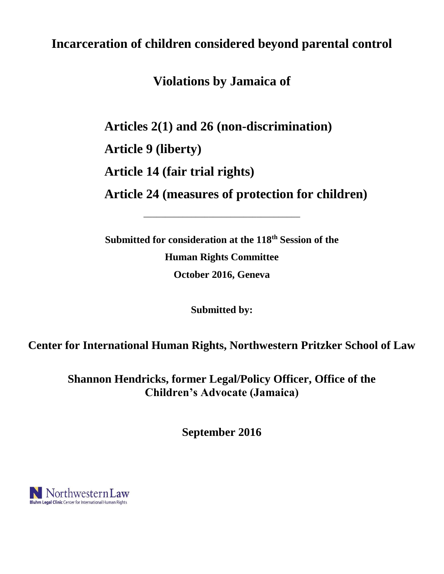# **Incarceration of children considered beyond parental control**

**Violations by Jamaica of**

**Articles 2(1) and 26 (non-discrimination)**

**Article 9 (liberty)**

**Article 14 (fair trial rights)**

**Article 24 (measures of protection for children)**

**Submitted for consideration at the 118th Session of the Human Rights Committee October 2016, Geneva** 

\_\_\_\_\_\_\_\_\_\_\_\_\_\_\_\_\_\_\_\_\_\_\_\_\_\_\_\_\_\_\_\_\_\_\_\_

**Submitted by:**

**Center for International Human Rights, Northwestern Pritzker School of Law**

**Shannon Hendricks, former Legal/Policy Officer, Office of the Children's Advocate (Jamaica)**

**September 2016**

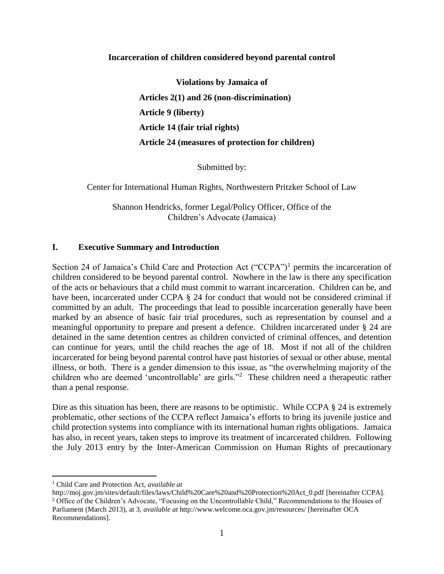#### **Incarceration of children considered beyond parental control**

**Violations by Jamaica of Articles 2(1) and 26 (non-discrimination) Article 9 (liberty) Article 14 (fair trial rights) Article 24 (measures of protection for children)**

Submitted by:

Center for International Human Rights, Northwestern Pritzker School of Law

Shannon Hendricks, former Legal/Policy Officer, Office of the Children's Advocate (Jamaica)

#### **I. Executive Summary and Introduction**

Section 24 of Jamaica's Child Care and Protection Act ("CCPA")<sup>1</sup> permits the incarceration of children considered to be beyond parental control. Nowhere in the law is there any specification of the acts or behaviours that a child must commit to warrant incarceration. Children can be, and have been, incarcerated under CCPA § 24 for conduct that would not be considered criminal if committed by an adult. The proceedings that lead to possible incarceration generally have been marked by an absence of basic fair trial procedures, such as representation by counsel and a meaningful opportunity to prepare and present a defence. Children incarcerated under § 24 are detained in the same detention centres as children convicted of criminal offences, and detention can continue for years, until the child reaches the age of 18. Most if not all of the children incarcerated for being beyond parental control have past histories of sexual or other abuse, mental illness, or both. There is a gender dimension to this issue, as "the overwhelming majority of the children who are deemed 'uncontrollable' are girls."<sup>2</sup> These children need a therapeutic rather than a penal response.

Dire as this situation has been, there are reasons to be optimistic. While CCPA § 24 is extremely problematic, other sections of the CCPA reflect Jamaica's efforts to bring its juvenile justice and child protection systems into compliance with its international human rights obligations. Jamaica has also, in recent years, taken steps to improve its treatment of incarcerated children. Following the July 2013 entry by the Inter-American Commission on Human Rights of precautionary

<sup>1</sup> Child Care and Protection Act, *available at* 

http://moj.gov.jm/sites/default/files/laws/Child%20Care%20and%20Protection%20Act\_0.pdf [hereinafter CCPA]. <sup>2</sup> Office of the Children's Advocate, "Focusing on the Uncontrollable Child," Recommendations to the Houses of Parliament (March 2013), at 3, *available at* http://www.welcome.oca.gov.jm/resources/ [hereinafter OCA Recommendations].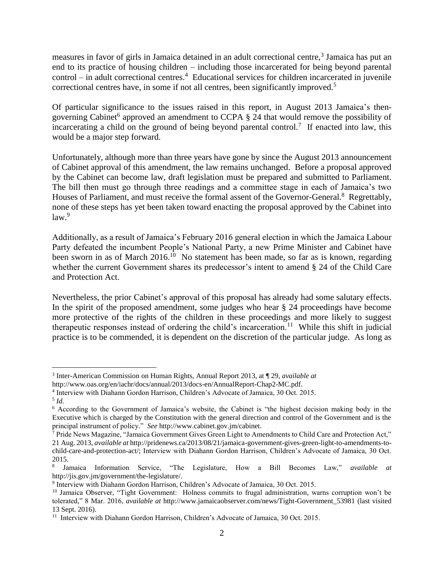measures in favor of girls in Jamaica detained in an adult correctional centre,<sup>3</sup> Jamaica has put an end to its practice of housing children – including those incarcerated for being beyond parental control – in adult correctional centres.<sup>4</sup> Educational services for children incarcerated in juvenile correctional centres have, in some if not all centres, been significantly improved.<sup>5</sup>

Of particular significance to the issues raised in this report, in August 2013 Jamaica's thengoverning Cabinet<sup>6</sup> approved an amendment to CCPA § 24 that would remove the possibility of incarcerating a child on the ground of being beyond parental control.<sup>7</sup> If enacted into law, this would be a major step forward.

Unfortunately, although more than three years have gone by since the August 2013 announcement of Cabinet approval of this amendment, the law remains unchanged. Before a proposal approved by the Cabinet can become law, draft legislation must be prepared and submitted to Parliament. The bill then must go through three readings and a committee stage in each of Jamaica's two Houses of Parliament, and must receive the formal assent of the Governor-General.<sup>8</sup> Regrettably, none of these steps has yet been taken toward enacting the proposal approved by the Cabinet into  $law.<sup>9</sup>$ 

Additionally, as a result of Jamaica's February 2016 general election in which the Jamaica Labour Party defeated the incumbent People's National Party, a new Prime Minister and Cabinet have been sworn in as of March 2016.<sup>10</sup> No statement has been made, so far as is known, regarding whether the current Government shares its predecessor's intent to amend § 24 of the Child Care and Protection Act.

Nevertheless, the prior Cabinet's approval of this proposal has already had some salutary effects. In the spirit of the proposed amendment, some judges who hear § 24 proceedings have become more protective of the rights of the children in these proceedings and more likely to suggest therapeutic responses instead of ordering the child's incarceration.<sup>11</sup> While this shift in judicial practice is to be commended, it is dependent on the discretion of the particular judge. As long as

 $\overline{a}$ 3 Inter-American Commission on Human Rights, Annual Report 2013, at ¶ 29, *available at*

http://www.oas.org/en/iachr/docs/annual/2013/docs-en/AnnualReport-Chap2-MC.pdf.

<sup>4</sup> Interview with Diahann Gordon Harrison, Children's Advocate of Jamaica, 30 Oct. 2015.

<sup>5</sup> *Id.*

<sup>6</sup> According to the Government of Jamaica's website, the Cabinet is "the highest decision making body in the Executive which is charged by the Constitution with the general direction and control of the Government and is the principal instrument of policy." *See* http://www.cabinet.gov.jm/cabinet.

<sup>7</sup> Pride News Magazine, "Jamaica Government Gives Green Light to Amendments to Child Care and Protection Act," 21 Aug. 2013, *available at* http://pridenews.ca/2013/08/21/jamaica-government-gives-green-light-to-amendments-tochild-care-and-protection-act/; Interview with Diahann Gordon Harrison, Children's Advocate of Jamaica, 30 Oct. 2015.

<sup>8</sup> Jamaica Information Service, "The Legislature, How a Bill Becomes Law," *available at*  http://jis.gov.jm/government/the-legislature/.

<sup>&</sup>lt;sup>9</sup> Interview with Diahann Gordon Harrison, Children's Advocate of Jamaica, 30 Oct. 2015.

<sup>&</sup>lt;sup>10</sup> Jamaica Observer, "Tight Government: Holness commits to frugal administration, warns corruption won't be tolerated," 8 Mar. 2016, *available at* http://www.jamaicaobserver.com/news/Tight-Government\_53981 (last visited 13 Sept. 2016).

<sup>&</sup>lt;sup>11</sup> Interview with Diahann Gordon Harrison, Children's Advocate of Jamaica, 30 Oct. 2015.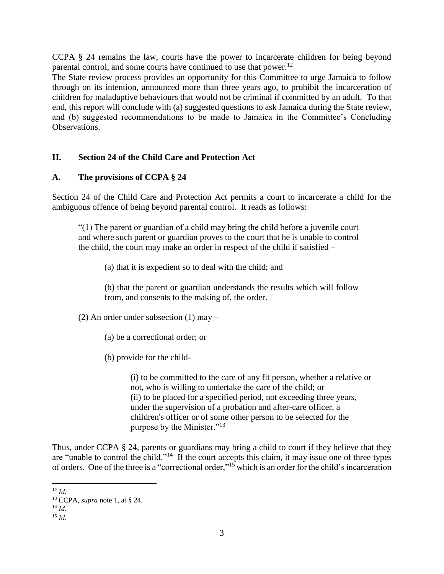CCPA § 24 remains the law, courts have the power to incarcerate children for being beyond parental control, and some courts have continued to use that power.<sup>12</sup>

The State review process provides an opportunity for this Committee to urge Jamaica to follow through on its intention, announced more than three years ago, to prohibit the incarceration of children for maladaptive behaviours that would not be criminal if committed by an adult. To that end, this report will conclude with (a) suggested questions to ask Jamaica during the State review, and (b) suggested recommendations to be made to Jamaica in the Committee's Concluding Observations.

# **II. Section 24 of the Child Care and Protection Act**

## **A. The provisions of CCPA § 24**

Section 24 of the Child Care and Protection Act permits a court to incarcerate a child for the ambiguous offence of being beyond parental control. It reads as follows:

"(1) The parent or guardian of a child may bring the child before a juvenile court and where such parent or guardian proves to the court that he is unable to control the child, the court may make an order in respect of the child if satisfied –

(a) that it is expedient so to deal with the child; and

(b) that the parent or guardian understands the results which will follow from, and consents to the making of, the order.

(2) An order under subsection (1) may –

(a) be a correctional order; or

(b) provide for the child-

(i) to be committed to the care of any fit person, whether a relative or not, who is willing to undertake the care of the child; or (ii) to be placed for a specified period, not exceeding three years, under the supervision of a probation and after-care officer, a children's officer or of some other person to be selected for the purpose by the Minister."<sup>13</sup>

Thus, under CCPA § 24, parents or guardians may bring a child to court if they believe that they are "unable to control the child."<sup>14</sup> If the court accepts this claim, it may issue one of three types of orders. One of the three is a "correctional order," <sup>15</sup> which is an order for the child's incarceration

 $\overline{a}$ <sup>12</sup> *Id.*

<sup>13</sup> CCPA, *supra* note 1, at § 24.

 $^{14}$  *Id.* 

 $^{15}$  *Id.*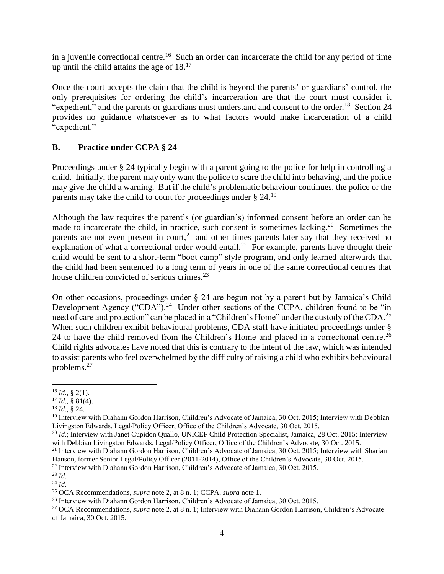in a juvenile correctional centre.<sup>16</sup> Such an order can incarcerate the child for any period of time up until the child attains the age of  $18<sup>17</sup>$ 

Once the court accepts the claim that the child is beyond the parents' or guardians' control, the only prerequisites for ordering the child's incarceration are that the court must consider it "expedient," and the parents or guardians must understand and consent to the order.<sup>18</sup> Section 24 provides no guidance whatsoever as to what factors would make incarceration of a child "expedient."

# **B. Practice under CCPA § 24**

Proceedings under § 24 typically begin with a parent going to the police for help in controlling a child. Initially, the parent may only want the police to scare the child into behaving, and the police may give the child a warning. But if the child's problematic behaviour continues, the police or the parents may take the child to court for proceedings under  $\S 24$ .<sup>19</sup>

Although the law requires the parent's (or guardian's) informed consent before an order can be made to incarcerate the child, in practice, such consent is sometimes lacking.<sup>20</sup> Sometimes the parents are not even present in court,<sup>21</sup> and other times parents later say that they received no explanation of what a correctional order would entail.<sup>22</sup> For example, parents have thought their child would be sent to a short-term "boot camp" style program, and only learned afterwards that the child had been sentenced to a long term of years in one of the same correctional centres that house children convicted of serious crimes. $^{23}$ 

On other occasions, proceedings under § 24 are begun not by a parent but by Jamaica's Child Development Agency ("CDA").<sup>24</sup> Under other sections of the CCPA, children found to be "in need of care and protection" can be placed in a "Children's Home" under the custody of the CDA.<sup>25</sup> When such children exhibit behavioural problems, CDA staff have initiated proceedings under § 24 to have the child removed from the Children's Home and placed in a correctional centre.<sup>26</sup> Child rights advocates have noted that this is contrary to the intent of the law, which was intended to assist parents who feel overwhelmed by the difficulty of raising a child who exhibits behavioural problems.<sup>27</sup>

 $\overline{a}$  $^{16}$  *Id.*, § 2(1).

 $17$  *Id.*, § 81(4).

<sup>18</sup> *Id.*, § 24.

<sup>&</sup>lt;sup>19</sup> Interview with Diahann Gordon Harrison, Children's Advocate of Jamaica, 30 Oct. 2015; Interview with Debbian Livingston Edwards, Legal/Policy Officer, Office of the Children's Advocate, 30 Oct. 2015.

<sup>20</sup> *Id.*; Interview with Janet Cupidon Quallo, UNICEF Child Protection Specialist, Jamaica, 28 Oct. 2015; Interview with Debbian Livingston Edwards, Legal/Policy Officer, Office of the Children's Advocate, 30 Oct. 2015.

<sup>&</sup>lt;sup>21</sup> Interview with Diahann Gordon Harrison, Children's Advocate of Jamaica, 30 Oct. 2015; Interview with Sharian Hanson, former Senior Legal/Policy Officer (2011-2014), Office of the Children's Advocate, 30 Oct. 2015.

<sup>22</sup> Interview with Diahann Gordon Harrison, Children's Advocate of Jamaica, 30 Oct. 2015.

<sup>23</sup> *Id.*

<sup>24</sup> *Id.*

<sup>25</sup> OCA Recommendations, *supra* note 2, at 8 n. 1; CCPA, *supra* note 1.

<sup>26</sup> Interview with Diahann Gordon Harrison, Children's Advocate of Jamaica, 30 Oct. 2015.

<sup>27</sup> OCA Recommendations, *supra* note 2, at 8 n. 1; Interview with Diahann Gordon Harrison, Children's Advocate of Jamaica, 30 Oct. 2015.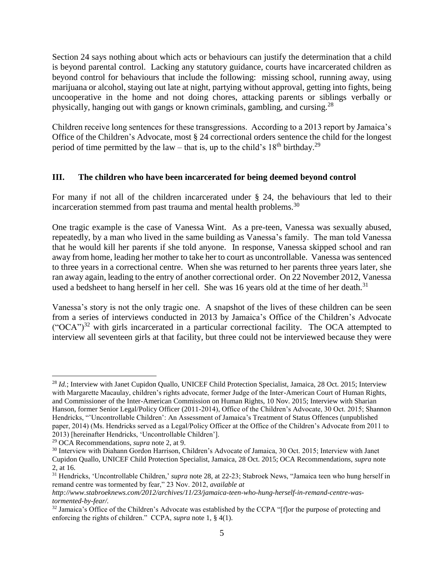Section 24 says nothing about which acts or behaviours can justify the determination that a child is beyond parental control. Lacking any statutory guidance, courts have incarcerated children as beyond control for behaviours that include the following: missing school, running away, using marijuana or alcohol, staying out late at night, partying without approval, getting into fights, being uncooperative in the home and not doing chores, attacking parents or siblings verbally or physically, hanging out with gangs or known criminals, gambling, and cursing.<sup>28</sup>

Children receive long sentences for these transgressions. According to a 2013 report by Jamaica's Office of the Children's Advocate, most § 24 correctional orders sentence the child for the longest period of time permitted by the law – that is, up to the child's  $18<sup>th</sup>$  birthday.<sup>29</sup>

## **III. The children who have been incarcerated for being deemed beyond control**

For many if not all of the children incarcerated under § 24, the behaviours that led to their incarceration stemmed from past trauma and mental health problems.<sup>30</sup>

One tragic example is the case of Vanessa Wint. As a pre-teen, Vanessa was sexually abused, repeatedly, by a man who lived in the same building as Vanessa's family. The man told Vanessa that he would kill her parents if she told anyone. In response, Vanessa skipped school and ran away from home, leading her mother to take her to court as uncontrollable. Vanessa was sentenced to three years in a correctional centre. When she was returned to her parents three years later, she ran away again, leading to the entry of another correctional order. On 22 November 2012, Vanessa used a bedsheet to hang herself in her cell. She was 16 years old at the time of her death.<sup>31</sup>

Vanessa's story is not the only tragic one. A snapshot of the lives of these children can be seen from a series of interviews conducted in 2013 by Jamaica's Office of the Children's Advocate  $({}^{\circ}OCA)^{32}$  with girls incarcerated in a particular correctional facility. The OCA attempted to interview all seventeen girls at that facility, but three could not be interviewed because they were

<sup>28</sup> *Id.*; Interview with Janet Cupidon Quallo, UNICEF Child Protection Specialist, Jamaica, 28 Oct. 2015; Interview with Margarette Macaulay, children's rights advocate, former Judge of the Inter-American Court of Human Rights, and Commissioner of the Inter-American Commission on Human Rights, 10 Nov. 2015; Interview with Sharian Hanson, former Senior Legal/Policy Officer (2011-2014), Office of the Children's Advocate, 30 Oct. 2015; Shannon Hendricks, "'Uncontrollable Children': An Assessment of Jamaica's Treatment of Status Offences (unpublished paper, 2014) (Ms. Hendricks served as a Legal/Policy Officer at the Office of the Children's Advocate from 2011 to 2013) [hereinafter Hendricks, 'Uncontrollable Children'].

<sup>29</sup> OCA Recommendations, *supra* note 2, at 9.

<sup>30</sup> Interview with Diahann Gordon Harrison, Children's Advocate of Jamaica, 30 Oct. 2015; Interview with Janet Cupidon Quallo, UNICEF Child Protection Specialist, Jamaica, 28 Oct. 2015; OCA Recommendations, *supra* note 2, at 16.

<sup>&</sup>lt;sup>31</sup> Hendricks, 'Uncontrollable Children,' *supra* note 28, at 22-23; Stabroek News, "Jamaica teen who hung herself in remand centre was tormented by fear," 23 Nov. 2012, *available at* 

*http://www.stabroeknews.com/2012/archives/11/23/jamaica-teen-who-hung-herself-in-remand-centre-wastormented-by-fear/.* 

<sup>&</sup>lt;sup>32</sup> Jamaica's Office of the Children's Advocate was established by the CCPA "[f]or the purpose of protecting and enforcing the rights of children." CCPA, *supra* note 1, § 4(1).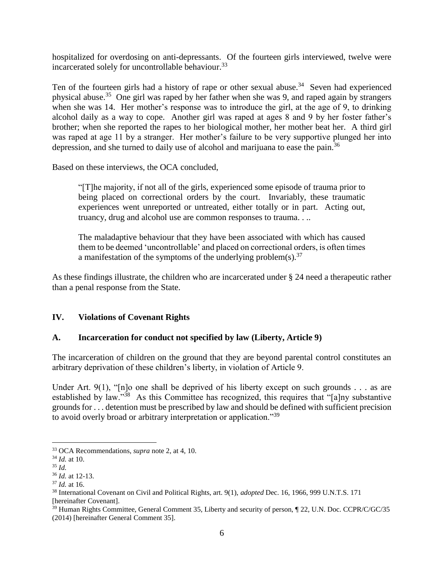hospitalized for overdosing on anti-depressants. Of the fourteen girls interviewed, twelve were incarcerated solely for uncontrollable behaviour.<sup>33</sup>

Ten of the fourteen girls had a history of rape or other sexual abuse.<sup>34</sup> Seven had experienced physical abuse.<sup>35</sup> One girl was raped by her father when she was 9, and raped again by strangers when she was 14. Her mother's response was to introduce the girl, at the age of 9, to drinking alcohol daily as a way to cope. Another girl was raped at ages 8 and 9 by her foster father's brother; when she reported the rapes to her biological mother, her mother beat her. A third girl was raped at age 11 by a stranger. Her mother's failure to be very supportive plunged her into depression, and she turned to daily use of alcohol and marijuana to ease the pain.<sup>36</sup>

Based on these interviews, the OCA concluded,

"[T]he majority, if not all of the girls, experienced some episode of trauma prior to being placed on correctional orders by the court. Invariably, these traumatic experiences went unreported or untreated, either totally or in part. Acting out, truancy, drug and alcohol use are common responses to trauma. . ..

The maladaptive behaviour that they have been associated with which has caused them to be deemed 'uncontrollable' and placed on correctional orders, is often times a manifestation of the symptoms of the underlying problem(s).<sup>37</sup>

As these findings illustrate, the children who are incarcerated under § 24 need a therapeutic rather than a penal response from the State.

## **IV. Violations of Covenant Rights**

## **A. Incarceration for conduct not specified by law (Liberty, Article 9)**

The incarceration of children on the ground that they are beyond parental control constitutes an arbitrary deprivation of these children's liberty, in violation of Article 9.

Under Art. 9(1), "[n]o one shall be deprived of his liberty except on such grounds . . . as are established by law."<sup>38</sup> As this Committee has recognized, this requires that "[a]ny substantive grounds for . . . detention must be prescribed by law and should be defined with sufficient precision to avoid overly broad or arbitrary interpretation or application."<sup>39</sup>

<sup>33</sup> OCA Recommendations, *supra* note 2, at 4, 10.

<sup>34</sup> *Id.* at 10.

<sup>35</sup> *Id.*

<sup>36</sup> *Id.* at 12-13.

<sup>37</sup> *Id.* at 16.

<sup>38</sup> International Covenant on Civil and Political Rights, art. 9(1), *adopted* Dec. 16, 1966, 999 U.N.T.S. 171 [hereinafter Covenant].

<sup>39</sup> Human Rights Committee, General Comment 35, Liberty and security of person, ¶ 22, U.N. Doc. CCPR/C/GC/35 (2014) [hereinafter General Comment 35].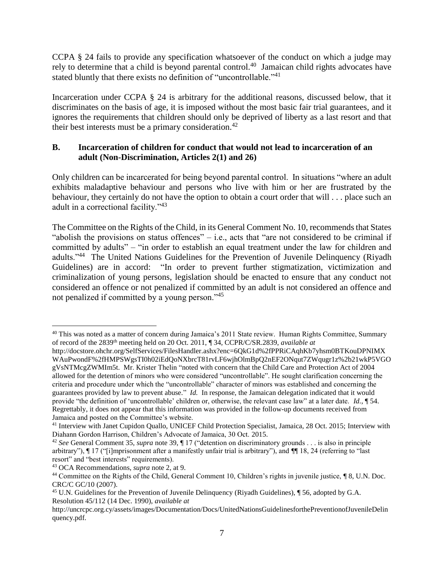CCPA § 24 fails to provide any specification whatsoever of the conduct on which a judge may rely to determine that a child is beyond parental control.<sup>40</sup> Jamaican child rights advocates have stated bluntly that there exists no definition of "uncontrollable."<sup>41</sup>

Incarceration under CCPA § 24 is arbitrary for the additional reasons, discussed below, that it discriminates on the basis of age, it is imposed without the most basic fair trial guarantees, and it ignores the requirements that children should only be deprived of liberty as a last resort and that their best interests must be a primary consideration.<sup>42</sup>

## **B. Incarceration of children for conduct that would not lead to incarceration of an adult (Non-Discrimination, Articles 2(1) and 26)**

Only children can be incarcerated for being beyond parental control. In situations "where an adult exhibits maladaptive behaviour and persons who live with him or her are frustrated by the behaviour, they certainly do not have the option to obtain a court order that will . . . place such an adult in a correctional facility."<sup>43</sup>

The Committee on the Rights of the Child, in its General Comment No. 10, recommends that States "abolish the provisions on status offences" – i.e., acts that "are not considered to be criminal if committed by adults" – "in order to establish an equal treatment under the law for children and adults."<sup>44</sup> The United Nations Guidelines for the Prevention of Juvenile Delinquency (Riyadh Guidelines) are in accord: "In order to prevent further stigmatization, victimization and criminalization of young persons, legislation should be enacted to ensure that any conduct not considered an offence or not penalized if committed by an adult is not considered an offence and not penalized if committed by a young person."<sup>45</sup>

<sup>40</sup> This was noted as a matter of concern during Jamaica's 2011 State review. Human Rights Committee, Summary of record of the 2839th meeting held on 20 Oct. 2011, ¶ 34, CCPR/C/SR.2839, *available at* 

[http://docstore.ohchr.org/SelfServices/FilesHandler.ashx?enc=6QkG1d%2fPPRiCAqhKb7yhsm0BTKouDPNIMX](http://docstore.ohchr.org/SelfServices/FilesHandler.ashx?enc=6QkG1d%2fPPRiCAqhKb7yhsm0BTKouDPNIMXWAuPwondF%2fHMPSWgsTI0h02iEdQoNXbrcT81rvLF6wjhOlmBpQ2nEF2ONqut7ZWqugr1z%2b21wkP5VGOgVsNTMcgZWMIm5t) [WAuPwondF%2fHMPSWgsTI0h02iEdQoNXbrcT81rvLF6wjhOlmBpQ2nEF2ONqut7ZWqugr1z%2b21wkP5VGO](http://docstore.ohchr.org/SelfServices/FilesHandler.ashx?enc=6QkG1d%2fPPRiCAqhKb7yhsm0BTKouDPNIMXWAuPwondF%2fHMPSWgsTI0h02iEdQoNXbrcT81rvLF6wjhOlmBpQ2nEF2ONqut7ZWqugr1z%2b21wkP5VGOgVsNTMcgZWMIm5t) [gVsNTMcgZWMIm5t.](http://docstore.ohchr.org/SelfServices/FilesHandler.ashx?enc=6QkG1d%2fPPRiCAqhKb7yhsm0BTKouDPNIMXWAuPwondF%2fHMPSWgsTI0h02iEdQoNXbrcT81rvLF6wjhOlmBpQ2nEF2ONqut7ZWqugr1z%2b21wkP5VGOgVsNTMcgZWMIm5t) Mr. Krister Thelin "noted with concern that the Child Care and Protection Act of 2004 allowed for the detention of minors who were considered "uncontrollable". He sought clarification concerning the criteria and procedure under which the "uncontrollable" character of minors was established and concerning the guarantees provided by law to prevent abuse." *Id.* In response, the Jamaican delegation indicated that it would provide "the definition of 'uncontrollable' children or, otherwise, the relevant case law" at a later date. *Id.*, ¶ 54. Regrettably, it does not appear that this information was provided in the follow-up documents received from Jamaica and posted on the Committee's website.

<sup>41</sup> Interview with Janet Cupidon Quallo, UNICEF Child Protection Specialist, Jamaica, 28 Oct. 2015; Interview with Diahann Gordon Harrison, Children's Advocate of Jamaica, 30 Oct. 2015.

<sup>42</sup> *See* General Comment 35, *supra* note 39, ¶ 17 ("detention on discriminatory grounds . . . is also in principle arbitrary"), ¶ 17 ("[i]mprisonment after a manifestly unfair trial is arbitrary"), and ¶¶ 18, 24 (referring to "last resort" and "best interests" requirements).

<sup>43</sup> OCA Recommendations, *supra* note 2, at 9.

<sup>44</sup> Committee on the Rights of the Child, General Comment 10, Children's rights in juvenile justice, ¶ 8, U.N. Doc. CRC/C GC/10 (2007).

<sup>&</sup>lt;sup>45</sup> U.N. Guidelines for the Prevention of Juvenile Delinquency (Riyadh Guidelines), ¶ 56, adopted by G.A. Resolution 45/112 (14 Dec. 1990), *available at* 

http://uncrcpc.org.cy/assets/images/Documentation/Docs/UnitedNationsGuidelinesforthePreventionofJuvenileDelin quency.pdf.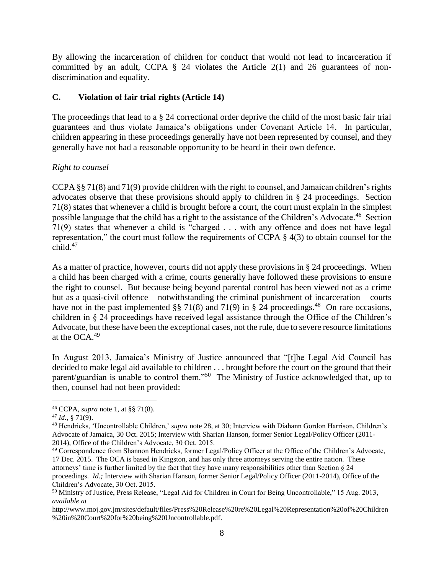By allowing the incarceration of children for conduct that would not lead to incarceration if committed by an adult, CCPA  $\S$  24 violates the Article 2(1) and 26 guarantees of nondiscrimination and equality.

# **C. Violation of fair trial rights (Article 14)**

The proceedings that lead to a § 24 correctional order deprive the child of the most basic fair trial guarantees and thus violate Jamaica's obligations under Covenant Article 14. In particular, children appearing in these proceedings generally have not been represented by counsel, and they generally have not had a reasonable opportunity to be heard in their own defence.

# *Right to counsel*

CCPA §§ 71(8) and 71(9) provide children with the right to counsel, and Jamaican children's rights advocates observe that these provisions should apply to children in § 24 proceedings. Section 71(8) states that whenever a child is brought before a court, the court must explain in the simplest possible language that the child has a right to the assistance of the Children's Advocate.<sup>46</sup> Section 71(9) states that whenever a child is "charged . . . with any offence and does not have legal representation," the court must follow the requirements of CCPA § 4(3) to obtain counsel for the  $child.<sup>47</sup>$ 

As a matter of practice, however, courts did not apply these provisions in § 24 proceedings. When a child has been charged with a crime, courts generally have followed these provisions to ensure the right to counsel. But because being beyond parental control has been viewed not as a crime but as a quasi-civil offence – notwithstanding the criminal punishment of incarceration – courts have not in the past implemented  $\S$  71(8) and 71(9) in § 24 proceedings.<sup>48</sup> On rare occasions, children in § 24 proceedings have received legal assistance through the Office of the Children's Advocate, but these have been the exceptional cases, not the rule, due to severe resource limitations at the OCA.<sup>49</sup>

In August 2013, Jamaica's Ministry of Justice announced that "[t]he Legal Aid Council has decided to make legal aid available to children . . . brought before the court on the ground that their parent/guardian is unable to control them."<sup>50</sup> The Ministry of Justice acknowledged that, up to then, counsel had not been provided:

<sup>46</sup> CCPA, *supra* note 1, at §§ 71(8).

<sup>47</sup> *Id.*, § 71(9).

<sup>48</sup> Hendricks, 'Uncontrollable Children,' *supra* note 28, at 30; Interview with Diahann Gordon Harrison, Children's Advocate of Jamaica, 30 Oct. 2015; Interview with Sharian Hanson, former Senior Legal/Policy Officer (2011- 2014), Office of the Children's Advocate, 30 Oct. 2015.

<sup>49</sup> Correspondence from Shannon Hendricks, former Legal/Policy Officer at the Office of the Children's Advocate, 17 Dec. 2015. The OCA is based in Kingston, and has only three attorneys serving the entire nation. These attorneys' time is further limited by the fact that they have many responsibilities other than Section § 24 proceedings. *Id.;* Interview with Sharian Hanson, former Senior Legal/Policy Officer (2011-2014), Office of the Children's Advocate, 30 Oct. 2015.

<sup>50</sup> Ministry of Justice, Press Release, "Legal Aid for Children in Court for Being Uncontrollable," 15 Aug. 2013, *available at* 

http://www.moj.gov.jm/sites/default/files/Press%20Release%20re%20Legal%20Representation%20of%20Children %20in%20Court%20for%20being%20Uncontrollable.pdf.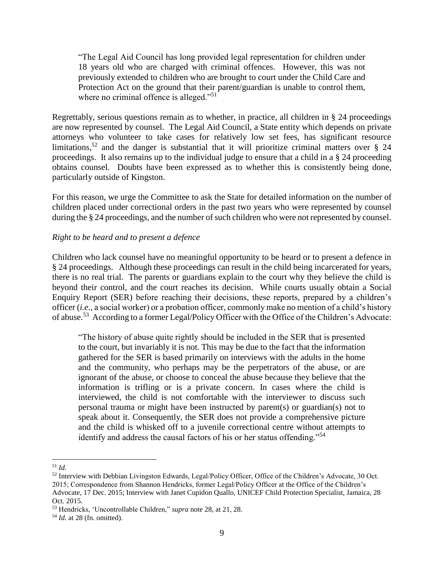"The Legal Aid Council has long provided legal representation for children under 18 years old who are charged with criminal offences. However, this was not previously extended to children who are brought to court under the Child Care and Protection Act on the ground that their parent/guardian is unable to control them, where no criminal offence is alleged."<sup>51</sup>

Regrettably, serious questions remain as to whether, in practice, all children in § 24 proceedings are now represented by counsel. The Legal Aid Council, a State entity which depends on private attorneys who volunteer to take cases for relatively low set fees, has significant resource limitations,<sup>52</sup> and the danger is substantial that it will prioritize criminal matters over  $\S$  24 proceedings. It also remains up to the individual judge to ensure that a child in a § 24 proceeding obtains counsel. Doubts have been expressed as to whether this is consistently being done, particularly outside of Kingston.

For this reason, we urge the Committee to ask the State for detailed information on the number of children placed under correctional orders in the past two years who were represented by counsel during the § 24 proceedings, and the number of such children who were not represented by counsel.

#### *Right to be heard and to present a defence*

Children who lack counsel have no meaningful opportunity to be heard or to present a defence in § 24 proceedings. Although these proceedings can result in the child being incarcerated for years, there is no real trial. The parents or guardians explain to the court why they believe the child is beyond their control, and the court reaches its decision. While courts usually obtain a Social Enquiry Report (SER) before reaching their decisions, these reports, prepared by a children's officer (*i.e.,* a social worker) or a probation officer, commonly make no mention of a child's history of abuse.<sup>53</sup> According to a former Legal/Policy Officer with the Office of the Children's Advocate:

"The history of abuse quite rightly should be included in the SER that is presented to the court, but invariably it is not. This may be due to the fact that the information gathered for the SER is based primarily on interviews with the adults in the home and the community, who perhaps may be the perpetrators of the abuse, or are ignorant of the abuse, or choose to conceal the abuse because they believe that the information is trifling or is a private concern. In cases where the child is interviewed, the child is not comfortable with the interviewer to discuss such personal trauma or might have been instructed by parent(s) or guardian(s) not to speak about it. Consequently, the SER does not provide a comprehensive picture and the child is whisked off to a juvenile correctional centre without attempts to identify and address the causal factors of his or her status offending."<sup>54</sup>

 $\overline{a}$ <sup>51</sup> *Id.*

<sup>52</sup> Interview with Debbian Livingston Edwards, Legal/Policy Officer, Office of the Children's Advocate, 30 Oct. 2015; Correspondence from Shannon Hendricks, former Legal/Policy Officer at the Office of the Children's Advocate, 17 Dec. 2015; Interview with Janet Cupidon Quallo, UNICEF Child Protection Specialist, Jamaica, 28 Oct. 2015.

<sup>53</sup> Hendricks, 'Uncontrollable Children," *supra* note 28, at 21, 28.

<sup>54</sup> *Id.* at 28 (fn. omitted).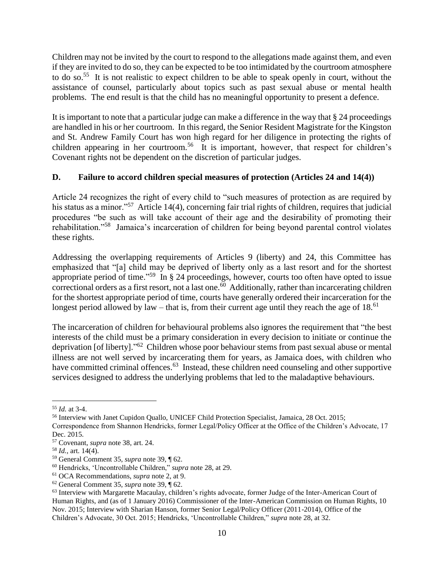Children may not be invited by the court to respond to the allegations made against them, and even if they are invited to do so, they can be expected to be too intimidated by the courtroom atmosphere to do so.<sup>55</sup> It is not realistic to expect children to be able to speak openly in court, without the assistance of counsel, particularly about topics such as past sexual abuse or mental health problems. The end result is that the child has no meaningful opportunity to present a defence.

It is important to note that a particular judge can make a difference in the way that  $\S 24$  proceedings are handled in his or her courtroom. In this regard, the Senior Resident Magistrate for the Kingston and St. Andrew Family Court has won high regard for her diligence in protecting the rights of children appearing in her courtroom.<sup>56</sup> It is important, however, that respect for children's Covenant rights not be dependent on the discretion of particular judges.

# **D. Failure to accord children special measures of protection (Articles 24 and 14(4))**

Article 24 recognizes the right of every child to "such measures of protection as are required by his status as a minor."<sup>57</sup> Article 14(4), concerning fair trial rights of children, requires that judicial procedures "be such as will take account of their age and the desirability of promoting their rehabilitation."<sup>58</sup> Jamaica's incarceration of children for being beyond parental control violates these rights.

Addressing the overlapping requirements of Articles 9 (liberty) and 24, this Committee has emphasized that "[a] child may be deprived of liberty only as a last resort and for the shortest appropriate period of time.<sup> $.59$ </sup> In § 24 proceedings, however, courts too often have opted to issue correctional orders as a first resort, not a last one. $\overline{60}$  Additionally, rather than incarcerating children for the shortest appropriate period of time, courts have generally ordered their incarceration for the longest period allowed by law – that is, from their current age until they reach the age of  $18<sup>61</sup>$ 

The incarceration of children for behavioural problems also ignores the requirement that "the best interests of the child must be a primary consideration in every decision to initiate or continue the deprivation [of liberty]."<sup>62</sup> Children whose poor behaviour stems from past sexual abuse or mental illness are not well served by incarcerating them for years, as Jamaica does, with children who have committed criminal offences.<sup>63</sup> Instead, these children need counseling and other supportive services designed to address the underlying problems that led to the maladaptive behaviours.

 $\overline{a}$ <sup>55</sup> *Id.* at 3-4.

<sup>56</sup> Interview with Janet Cupidon Quallo, UNICEF Child Protection Specialist, Jamaica, 28 Oct. 2015;

Correspondence from Shannon Hendricks, former Legal/Policy Officer at the Office of the Children's Advocate, 17 Dec. 2015.

<sup>57</sup> Covenant, *supra* note 38, art. 24.

<sup>58</sup> *Id.*, art. 14(4).

<sup>59</sup> General Comment 35, *supra* note 39, ¶ 62.

<sup>60</sup> Hendricks, 'Uncontrollable Children," *supra* note 28, at 29.

<sup>61</sup> OCA Recommendations, *supra* note 2, at 9.

<sup>62</sup> General Comment 35, *supra* note 39, ¶ 62.

<sup>&</sup>lt;sup>63</sup> Interview with Margarette Macaulay, children's rights advocate, former Judge of the Inter-American Court of Human Rights, and (as of 1 January 2016) Commissioner of the Inter-American Commission on Human Rights, 10 Nov. 2015; Interview with Sharian Hanson, former Senior Legal/Policy Officer (2011-2014), Office of the Children's Advocate, 30 Oct. 2015; Hendricks, 'Uncontrollable Children," *supra* note 28, at 32.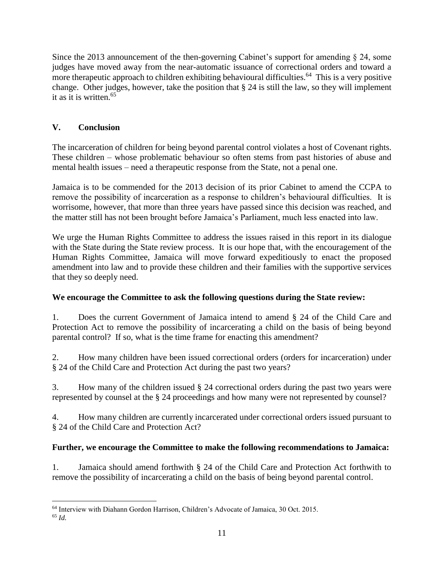Since the 2013 announcement of the then-governing Cabinet's support for amending § 24, some judges have moved away from the near-automatic issuance of correctional orders and toward a more therapeutic approach to children exhibiting behavioural difficulties.<sup>64</sup> This is a very positive change. Other judges, however, take the position that § 24 is still the law, so they will implement it as it is written.<sup>65</sup>

# **V. Conclusion**

 $\overline{a}$ 

The incarceration of children for being beyond parental control violates a host of Covenant rights. These children – whose problematic behaviour so often stems from past histories of abuse and mental health issues – need a therapeutic response from the State, not a penal one.

Jamaica is to be commended for the 2013 decision of its prior Cabinet to amend the CCPA to remove the possibility of incarceration as a response to children's behavioural difficulties. It is worrisome, however, that more than three years have passed since this decision was reached, and the matter still has not been brought before Jamaica's Parliament, much less enacted into law.

We urge the Human Rights Committee to address the issues raised in this report in its dialogue with the State during the State review process. It is our hope that, with the encouragement of the Human Rights Committee, Jamaica will move forward expeditiously to enact the proposed amendment into law and to provide these children and their families with the supportive services that they so deeply need.

## **We encourage the Committee to ask the following questions during the State review:**

1. Does the current Government of Jamaica intend to amend § 24 of the Child Care and Protection Act to remove the possibility of incarcerating a child on the basis of being beyond parental control? If so, what is the time frame for enacting this amendment?

2. How many children have been issued correctional orders (orders for incarceration) under § 24 of the Child Care and Protection Act during the past two years?

3. How many of the children issued § 24 correctional orders during the past two years were represented by counsel at the § 24 proceedings and how many were not represented by counsel?

4. How many children are currently incarcerated under correctional orders issued pursuant to § 24 of the Child Care and Protection Act?

# **Further, we encourage the Committee to make the following recommendations to Jamaica:**

1. Jamaica should amend forthwith § 24 of the Child Care and Protection Act forthwith to remove the possibility of incarcerating a child on the basis of being beyond parental control.

<sup>64</sup> Interview with Diahann Gordon Harrison, Children's Advocate of Jamaica, 30 Oct. 2015. <sup>65</sup> *Id.*